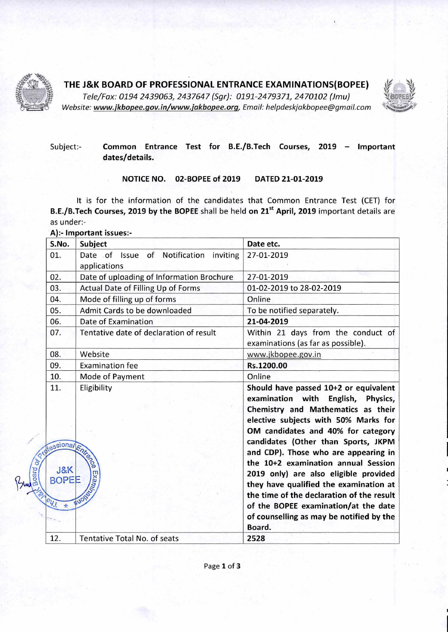

 $\tilde{\mathbf{e}}$ 

# **THE J&K BOARD OF PROFESSIONAL ENTRANCE EXAMINATIONS(BOPEE)**

Tele/Fax: 0194 2439063, 2437647 (Sgr): 0191-2479371, 2470102 (Jmu) Website: www.jkbopee.gov.in/www.jakbopee.org, Email: helpdeskjakbopee@gmail.com



## Subject:- **Common Entrance Test for B.E./B.Tech Courses, 2019 — Important dates/details.**

### **NOTICE NO. 02-BOPEE of 2019 DATED 21-01-2019**

It is for the information of the candidates that Common Entrance Test (CET) for **B.E./B.Tech Courses, 2019 by the BOPEE** shall be held on 21<sup>st</sup> April, 2019 important details are as under:-

A):- **Important issues:-** 

| S.No.                                                            | Subject                                                                | Date etc.                                                                                                                                                                                                                                                                                                                                                                                                                                                                                        |
|------------------------------------------------------------------|------------------------------------------------------------------------|--------------------------------------------------------------------------------------------------------------------------------------------------------------------------------------------------------------------------------------------------------------------------------------------------------------------------------------------------------------------------------------------------------------------------------------------------------------------------------------------------|
| 01.                                                              | of Notification<br>Date of<br>inviting<br><b>Issue</b><br>applications | 27-01-2019                                                                                                                                                                                                                                                                                                                                                                                                                                                                                       |
| 02.                                                              | Date of uploading of Information Brochure                              | 27-01-2019                                                                                                                                                                                                                                                                                                                                                                                                                                                                                       |
| 03.                                                              | Actual Date of Filling Up of Forms                                     | 01-02-2019 to 28-02-2019                                                                                                                                                                                                                                                                                                                                                                                                                                                                         |
| 04.                                                              | Mode of filling up of forms                                            | Online                                                                                                                                                                                                                                                                                                                                                                                                                                                                                           |
| 05.                                                              | Admit Cards to be downloaded                                           | To be notified separately.                                                                                                                                                                                                                                                                                                                                                                                                                                                                       |
| 06.                                                              | Date of Examination                                                    | 21-04-2019                                                                                                                                                                                                                                                                                                                                                                                                                                                                                       |
| 07.                                                              | Tentative date of declaration of result                                | Within 21 days from the conduct of<br>examinations (as far as possible).                                                                                                                                                                                                                                                                                                                                                                                                                         |
| 08.                                                              | Website                                                                | www.jkbopee.gov.in                                                                                                                                                                                                                                                                                                                                                                                                                                                                               |
| 09.                                                              | <b>Examination fee</b>                                                 | Rs.1200.00                                                                                                                                                                                                                                                                                                                                                                                                                                                                                       |
| 10.                                                              | Mode of Payment                                                        | Online                                                                                                                                                                                                                                                                                                                                                                                                                                                                                           |
| 11.<br><b>Sessional Entre 20</b><br>J&K<br><b>BOPEE</b><br>041 * | Eligibility<br><b>Example Address</b>                                  | Should have passed 10+2 or equivalent<br>examination with<br>English, Physics,<br>Chemistry and Mathematics as their<br>elective subjects with 50% Marks for<br>OM candidates and 40% for category<br>candidates (Other than Sports, JKPM<br>and CDP). Those who are appearing in<br>the 10+2 examination annual Session<br>2019 only) are also eligible provided<br>they have qualified the examination at<br>the time of the declaration of the result<br>of the BOPEE examination/at the date |
| 12.                                                              | <b>Tentative Total No. of seats</b>                                    | of counselling as may be notified by the<br>Board.<br>2528                                                                                                                                                                                                                                                                                                                                                                                                                                       |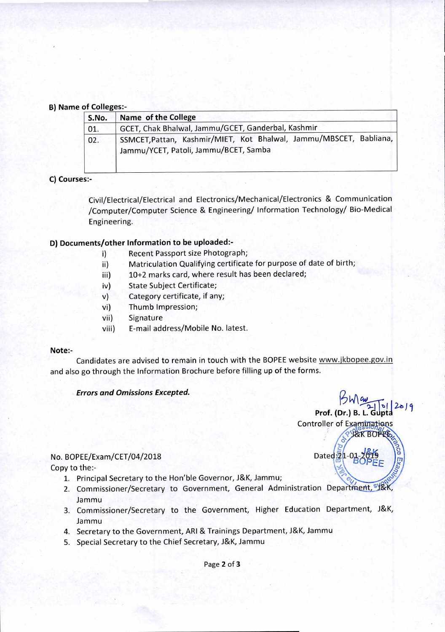#### **B) Name of Colleges:-**

| S.No. | Name of the College                                                                                         |  |  |
|-------|-------------------------------------------------------------------------------------------------------------|--|--|
| 01.   | GCET, Chak Bhalwal, Jammu/GCET, Ganderbal, Kashmir                                                          |  |  |
| 02.   | SSMCET, Pattan, Kashmir/MIET, Kot Bhalwal, Jammu/MBSCET, Babliana,<br>Jammu/YCET, Patoli, Jammu/BCET, Samba |  |  |

### **C) Courses:-**

Civil/Electrical/Electrical and Electronics/Mechanical/Electronics & Communication /Computer/Computer Science & Engineering/ Information Technology/ Bio-Medical Engineering.

### **D) Documents/other Information to be uploaded:-**

- i) Recent Passport size Photograph;
- ii) Matriculation Qualifying certificate for purpose of date of birth;
- iii) 10+2 marks card, where result has been declared;
- iv) State Subject Certificate;
- v) Category certificate, if any;
- vi) Thumb Impression;
- vii) Signature
- viii) E-mail address/Mobile No. latest.

### **Note:-**

Candidates are advised to remain in touch with the BOPEE website www.jkbopee.gov.in and also go through the Information Brochure before filling up of the forms.

**Prof. (Dr.) B. L. Gupta** 

**L&K BOPEE** 

Controller of Examinations

 $\sum_{i=1}^{n}$ 

Dated $\frac{5}{2}$ 1-02

#### **Errors and Omissions Excepted.**

#### No. BOPEE/Exam/CET/04/2018

Copy to the:-

- 1. Principal Secretary to the Hon'ble Governor, J&K, Jammu;
- 2. Commissioner/Secretary to Government, General Administration Department, <sup>sy</sup> Jammu
- 3. Commissioner/Secretary to the Government, Higher Education Department, J&K, Jammu
- 4. Secretary to the Government, ARI & Trainings Department, J&K, Jammu
- 5. Special Secretary to the Chief Secretary, J&K, Jammu

Page **2** of 3